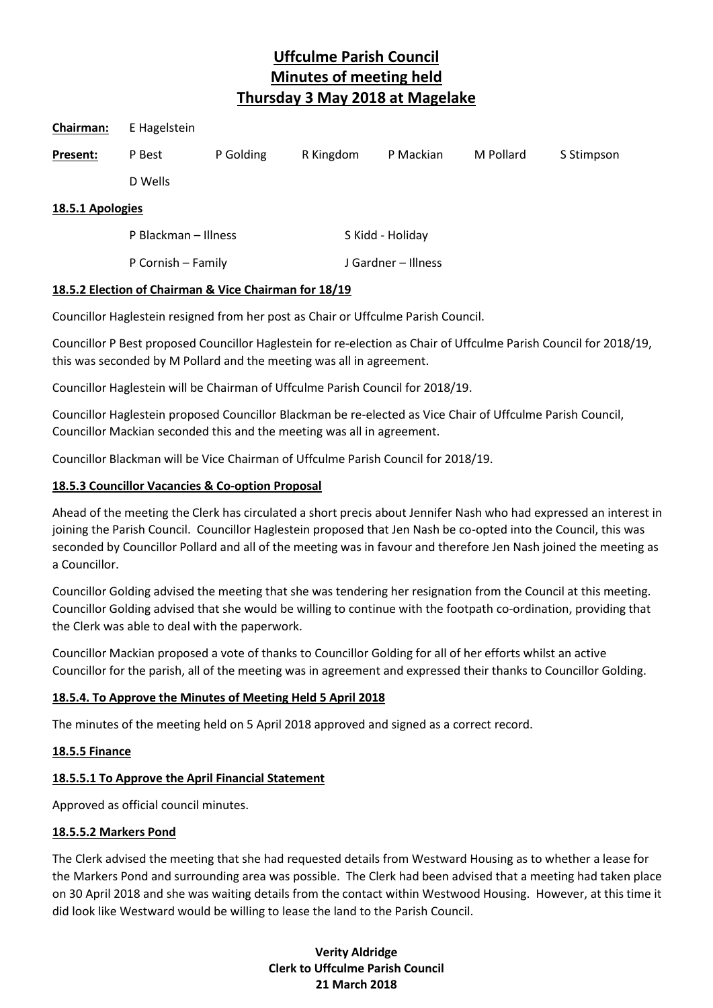| Chairman:        | E Hagelstein         |           |           |                     |           |            |
|------------------|----------------------|-----------|-----------|---------------------|-----------|------------|
| Present:         | P Best               | P Golding | R Kingdom | P Mackian           | M Pollard | S Stimpson |
|                  | D Wells              |           |           |                     |           |            |
| 18.5.1 Apologies |                      |           |           |                     |           |            |
|                  | P Blackman - Illness |           |           | S Kidd - Holiday    |           |            |
|                  | P Cornish - Family   |           |           | J Gardner – Illness |           |            |

#### **18.5.2 Election of Chairman & Vice Chairman for 18/19**

Councillor Haglestein resigned from her post as Chair or Uffculme Parish Council.

Councillor P Best proposed Councillor Haglestein for re-election as Chair of Uffculme Parish Council for 2018/19, this was seconded by M Pollard and the meeting was all in agreement.

Councillor Haglestein will be Chairman of Uffculme Parish Council for 2018/19.

Councillor Haglestein proposed Councillor Blackman be re-elected as Vice Chair of Uffculme Parish Council, Councillor Mackian seconded this and the meeting was all in agreement.

Councillor Blackman will be Vice Chairman of Uffculme Parish Council for 2018/19.

## **18.5.3 Councillor Vacancies & Co-option Proposal**

Ahead of the meeting the Clerk has circulated a short precis about Jennifer Nash who had expressed an interest in joining the Parish Council. Councillor Haglestein proposed that Jen Nash be co-opted into the Council, this was seconded by Councillor Pollard and all of the meeting was in favour and therefore Jen Nash joined the meeting as a Councillor.

Councillor Golding advised the meeting that she was tendering her resignation from the Council at this meeting. Councillor Golding advised that she would be willing to continue with the footpath co-ordination, providing that the Clerk was able to deal with the paperwork.

Councillor Mackian proposed a vote of thanks to Councillor Golding for all of her efforts whilst an active Councillor for the parish, all of the meeting was in agreement and expressed their thanks to Councillor Golding.

#### **18.5.4. To Approve the Minutes of Meeting Held 5 April 2018**

The minutes of the meeting held on 5 April 2018 approved and signed as a correct record.

#### **18.5.5 Finance**

#### **18.5.5.1 To Approve the April Financial Statement**

Approved as official council minutes.

#### **18.5.5.2 Markers Pond**

The Clerk advised the meeting that she had requested details from Westward Housing as to whether a lease for the Markers Pond and surrounding area was possible. The Clerk had been advised that a meeting had taken place on 30 April 2018 and she was waiting details from the contact within Westwood Housing. However, at this time it did look like Westward would be willing to lease the land to the Parish Council.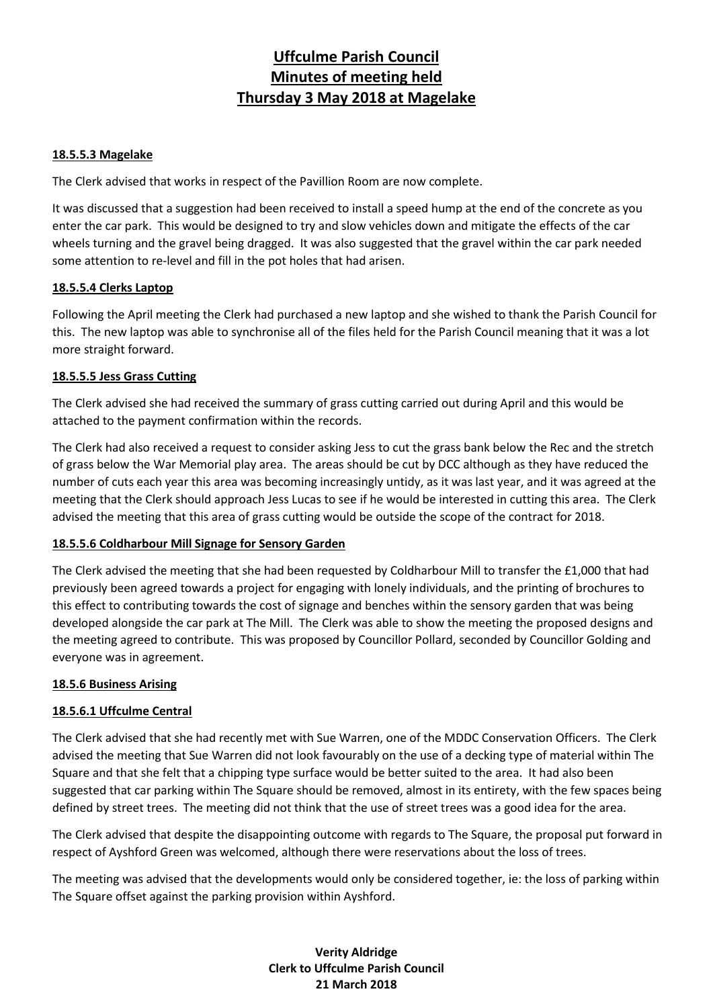#### **18.5.5.3 Magelake**

The Clerk advised that works in respect of the Pavillion Room are now complete.

It was discussed that a suggestion had been received to install a speed hump at the end of the concrete as you enter the car park. This would be designed to try and slow vehicles down and mitigate the effects of the car wheels turning and the gravel being dragged. It was also suggested that the gravel within the car park needed some attention to re-level and fill in the pot holes that had arisen.

## **18.5.5.4 Clerks Laptop**

Following the April meeting the Clerk had purchased a new laptop and she wished to thank the Parish Council for this. The new laptop was able to synchronise all of the files held for the Parish Council meaning that it was a lot more straight forward.

## **18.5.5.5 Jess Grass Cutting**

The Clerk advised she had received the summary of grass cutting carried out during April and this would be attached to the payment confirmation within the records.

The Clerk had also received a request to consider asking Jess to cut the grass bank below the Rec and the stretch of grass below the War Memorial play area. The areas should be cut by DCC although as they have reduced the number of cuts each year this area was becoming increasingly untidy, as it was last year, and it was agreed at the meeting that the Clerk should approach Jess Lucas to see if he would be interested in cutting this area. The Clerk advised the meeting that this area of grass cutting would be outside the scope of the contract for 2018.

## **18.5.5.6 Coldharbour Mill Signage for Sensory Garden**

The Clerk advised the meeting that she had been requested by Coldharbour Mill to transfer the £1,000 that had previously been agreed towards a project for engaging with lonely individuals, and the printing of brochures to this effect to contributing towards the cost of signage and benches within the sensory garden that was being developed alongside the car park at The Mill. The Clerk was able to show the meeting the proposed designs and the meeting agreed to contribute. This was proposed by Councillor Pollard, seconded by Councillor Golding and everyone was in agreement.

#### **18.5.6 Business Arising**

## **18.5.6.1 Uffculme Central**

The Clerk advised that she had recently met with Sue Warren, one of the MDDC Conservation Officers. The Clerk advised the meeting that Sue Warren did not look favourably on the use of a decking type of material within The Square and that she felt that a chipping type surface would be better suited to the area. It had also been suggested that car parking within The Square should be removed, almost in its entirety, with the few spaces being defined by street trees. The meeting did not think that the use of street trees was a good idea for the area.

The Clerk advised that despite the disappointing outcome with regards to The Square, the proposal put forward in respect of Ayshford Green was welcomed, although there were reservations about the loss of trees.

The meeting was advised that the developments would only be considered together, ie: the loss of parking within The Square offset against the parking provision within Ayshford.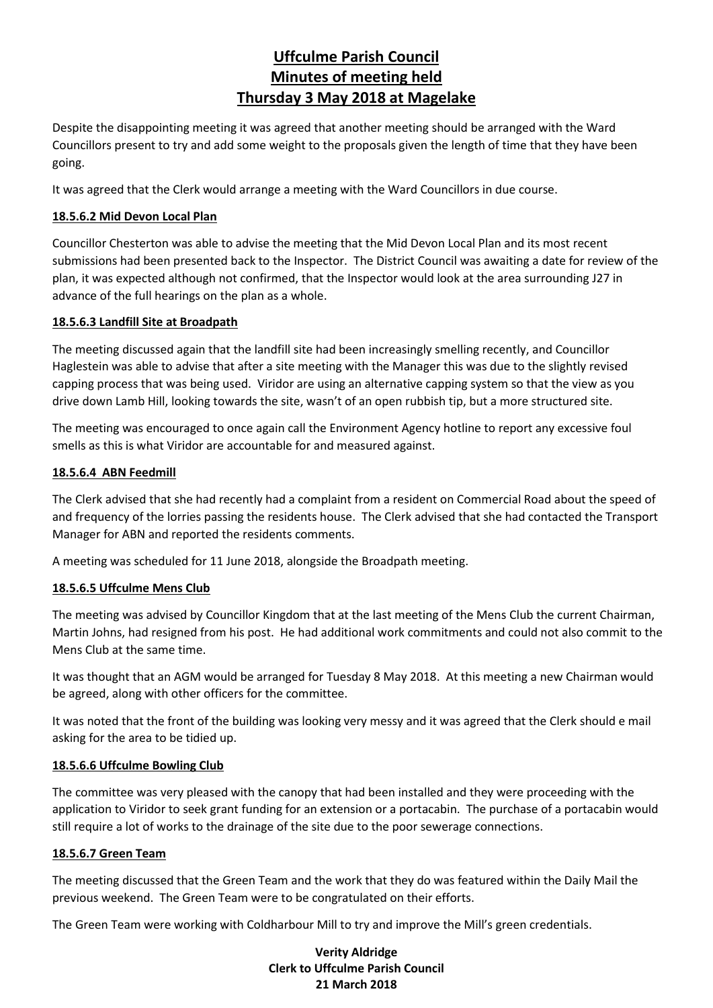Despite the disappointing meeting it was agreed that another meeting should be arranged with the Ward Councillors present to try and add some weight to the proposals given the length of time that they have been going.

It was agreed that the Clerk would arrange a meeting with the Ward Councillors in due course.

## **18.5.6.2 Mid Devon Local Plan**

Councillor Chesterton was able to advise the meeting that the Mid Devon Local Plan and its most recent submissions had been presented back to the Inspector. The District Council was awaiting a date for review of the plan, it was expected although not confirmed, that the Inspector would look at the area surrounding J27 in advance of the full hearings on the plan as a whole.

## **18.5.6.3 Landfill Site at Broadpath**

The meeting discussed again that the landfill site had been increasingly smelling recently, and Councillor Haglestein was able to advise that after a site meeting with the Manager this was due to the slightly revised capping process that was being used. Viridor are using an alternative capping system so that the view as you drive down Lamb Hill, looking towards the site, wasn't of an open rubbish tip, but a more structured site.

The meeting was encouraged to once again call the Environment Agency hotline to report any excessive foul smells as this is what Viridor are accountable for and measured against.

## **18.5.6.4 ABN Feedmill**

The Clerk advised that she had recently had a complaint from a resident on Commercial Road about the speed of and frequency of the lorries passing the residents house. The Clerk advised that she had contacted the Transport Manager for ABN and reported the residents comments.

A meeting was scheduled for 11 June 2018, alongside the Broadpath meeting.

#### **18.5.6.5 Uffculme Mens Club**

The meeting was advised by Councillor Kingdom that at the last meeting of the Mens Club the current Chairman, Martin Johns, had resigned from his post. He had additional work commitments and could not also commit to the Mens Club at the same time.

It was thought that an AGM would be arranged for Tuesday 8 May 2018. At this meeting a new Chairman would be agreed, along with other officers for the committee.

It was noted that the front of the building was looking very messy and it was agreed that the Clerk should e mail asking for the area to be tidied up.

#### **18.5.6.6 Uffculme Bowling Club**

The committee was very pleased with the canopy that had been installed and they were proceeding with the application to Viridor to seek grant funding for an extension or a portacabin. The purchase of a portacabin would still require a lot of works to the drainage of the site due to the poor sewerage connections.

#### **18.5.6.7 Green Team**

The meeting discussed that the Green Team and the work that they do was featured within the Daily Mail the previous weekend. The Green Team were to be congratulated on their efforts.

The Green Team were working with Coldharbour Mill to try and improve the Mill's green credentials.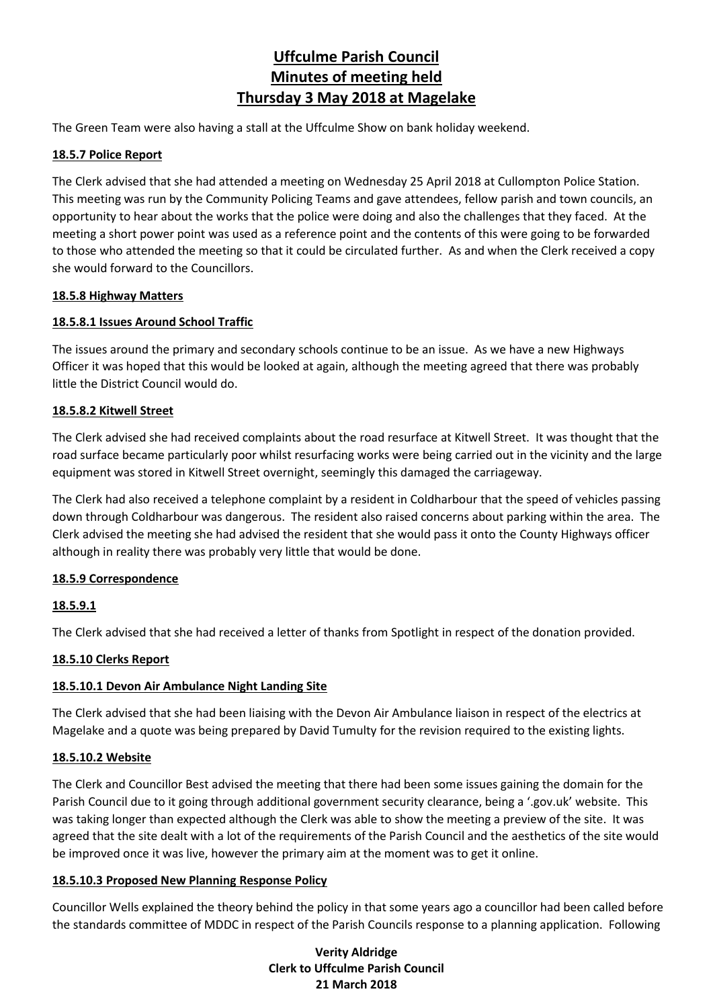The Green Team were also having a stall at the Uffculme Show on bank holiday weekend.

#### **18.5.7 Police Report**

The Clerk advised that she had attended a meeting on Wednesday 25 April 2018 at Cullompton Police Station. This meeting was run by the Community Policing Teams and gave attendees, fellow parish and town councils, an opportunity to hear about the works that the police were doing and also the challenges that they faced. At the meeting a short power point was used as a reference point and the contents of this were going to be forwarded to those who attended the meeting so that it could be circulated further. As and when the Clerk received a copy she would forward to the Councillors.

#### **18.5.8 Highway Matters**

## **18.5.8.1 Issues Around School Traffic**

The issues around the primary and secondary schools continue to be an issue. As we have a new Highways Officer it was hoped that this would be looked at again, although the meeting agreed that there was probably little the District Council would do.

## **18.5.8.2 Kitwell Street**

The Clerk advised she had received complaints about the road resurface at Kitwell Street. It was thought that the road surface became particularly poor whilst resurfacing works were being carried out in the vicinity and the large equipment was stored in Kitwell Street overnight, seemingly this damaged the carriageway.

The Clerk had also received a telephone complaint by a resident in Coldharbour that the speed of vehicles passing down through Coldharbour was dangerous. The resident also raised concerns about parking within the area. The Clerk advised the meeting she had advised the resident that she would pass it onto the County Highways officer although in reality there was probably very little that would be done.

#### **18.5.9 Correspondence**

## **18.5.9.1**

The Clerk advised that she had received a letter of thanks from Spotlight in respect of the donation provided.

#### **18.5.10 Clerks Report**

#### **18.5.10.1 Devon Air Ambulance Night Landing Site**

The Clerk advised that she had been liaising with the Devon Air Ambulance liaison in respect of the electrics at Magelake and a quote was being prepared by David Tumulty for the revision required to the existing lights.

#### **18.5.10.2 Website**

The Clerk and Councillor Best advised the meeting that there had been some issues gaining the domain for the Parish Council due to it going through additional government security clearance, being a '.gov.uk' website. This was taking longer than expected although the Clerk was able to show the meeting a preview of the site. It was agreed that the site dealt with a lot of the requirements of the Parish Council and the aesthetics of the site would be improved once it was live, however the primary aim at the moment was to get it online.

#### **18.5.10.3 Proposed New Planning Response Policy**

Councillor Wells explained the theory behind the policy in that some years ago a councillor had been called before the standards committee of MDDC in respect of the Parish Councils response to a planning application. Following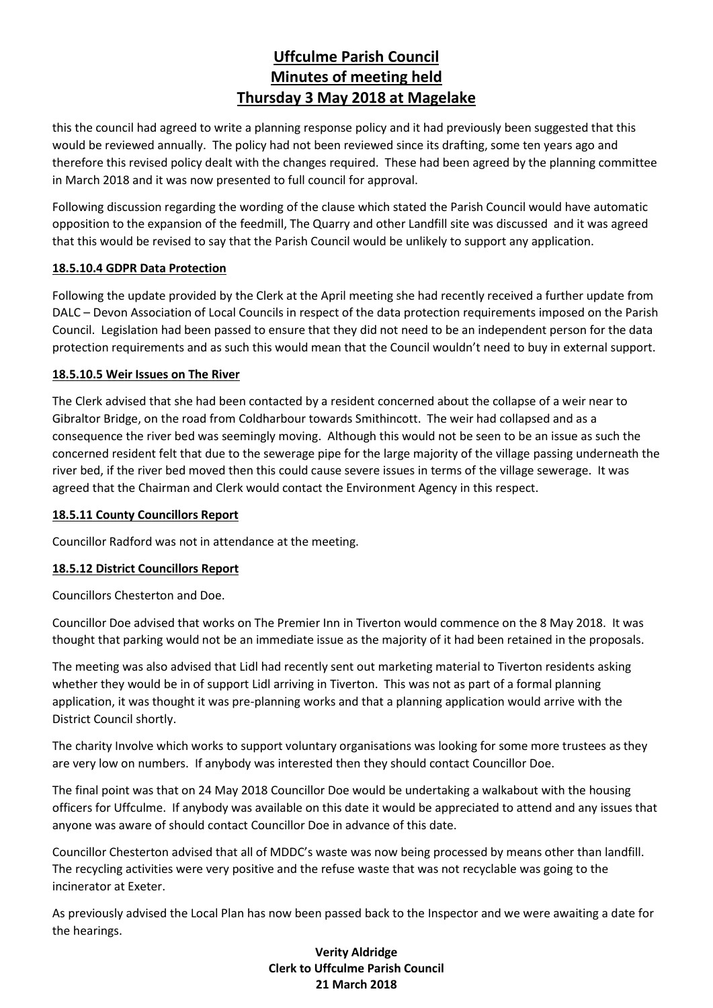this the council had agreed to write a planning response policy and it had previously been suggested that this would be reviewed annually. The policy had not been reviewed since its drafting, some ten years ago and therefore this revised policy dealt with the changes required. These had been agreed by the planning committee in March 2018 and it was now presented to full council for approval.

Following discussion regarding the wording of the clause which stated the Parish Council would have automatic opposition to the expansion of the feedmill, The Quarry and other Landfill site was discussed and it was agreed that this would be revised to say that the Parish Council would be unlikely to support any application.

## **18.5.10.4 GDPR Data Protection**

Following the update provided by the Clerk at the April meeting she had recently received a further update from DALC – Devon Association of Local Councils in respect of the data protection requirements imposed on the Parish Council. Legislation had been passed to ensure that they did not need to be an independent person for the data protection requirements and as such this would mean that the Council wouldn't need to buy in external support.

## **18.5.10.5 Weir Issues on The River**

The Clerk advised that she had been contacted by a resident concerned about the collapse of a weir near to Gibraltor Bridge, on the road from Coldharbour towards Smithincott. The weir had collapsed and as a consequence the river bed was seemingly moving. Although this would not be seen to be an issue as such the concerned resident felt that due to the sewerage pipe for the large majority of the village passing underneath the river bed, if the river bed moved then this could cause severe issues in terms of the village sewerage. It was agreed that the Chairman and Clerk would contact the Environment Agency in this respect.

#### **18.5.11 County Councillors Report**

Councillor Radford was not in attendance at the meeting.

## **18.5.12 District Councillors Report**

Councillors Chesterton and Doe.

Councillor Doe advised that works on The Premier Inn in Tiverton would commence on the 8 May 2018. It was thought that parking would not be an immediate issue as the majority of it had been retained in the proposals.

The meeting was also advised that Lidl had recently sent out marketing material to Tiverton residents asking whether they would be in of support Lidl arriving in Tiverton. This was not as part of a formal planning application, it was thought it was pre-planning works and that a planning application would arrive with the District Council shortly.

The charity Involve which works to support voluntary organisations was looking for some more trustees as they are very low on numbers. If anybody was interested then they should contact Councillor Doe.

The final point was that on 24 May 2018 Councillor Doe would be undertaking a walkabout with the housing officers for Uffculme. If anybody was available on this date it would be appreciated to attend and any issues that anyone was aware of should contact Councillor Doe in advance of this date.

Councillor Chesterton advised that all of MDDC's waste was now being processed by means other than landfill. The recycling activities were very positive and the refuse waste that was not recyclable was going to the incinerator at Exeter.

As previously advised the Local Plan has now been passed back to the Inspector and we were awaiting a date for the hearings.